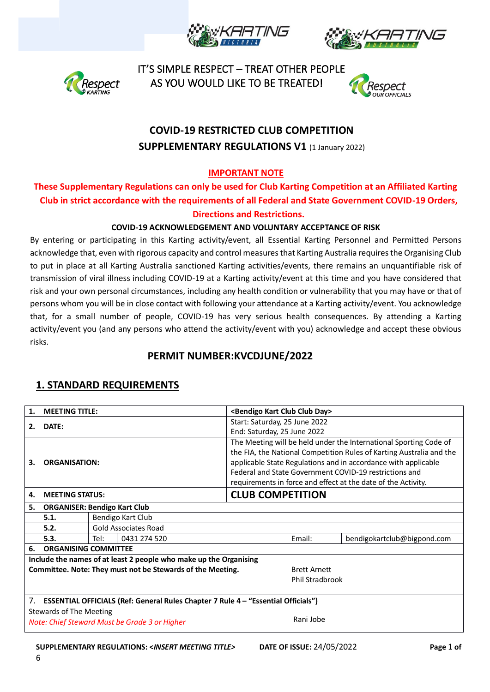





 IT'S SIMPLE RESPECT – TREAT OTHER PEOPLE espect AS YOU WOULD LIKE TO BE TREATED!



# **COVID-19 RESTRICTED CLUB COMPETITION SUPPLEMENTARY REGULATIONS V1 (1 January 2022)**

## **IMPORTANT NOTE**

### **These Supplementary Regulations can only be used for Club Karting Competition at an Affiliated Karting Club in strict accordance with the requirements of all Federal and State Government COVID-19 Orders, Directions and Restrictions.**

#### **COVID-19 ACKNOWLEDGEMENT AND VOLUNTARY ACCEPTANCE OF RISK**

By entering or participating in this Karting activity/event, all Essential Karting Personnel and Permitted Persons acknowledge that, even with rigorous capacity and control measures that Karting Australia requires the Organising Club to put in place at all Karting Australia sanctioned Karting activities/events, there remains an unquantifiable risk of transmission of viral illness including COVID-19 at a Karting activity/event at this time and you have considered that risk and your own personal circumstances, including any health condition or vulnerability that you may have or that of persons whom you will be in close contact with following your attendance at a Karting activity/event. You acknowledge that, for a small number of people, COVID-19 has very serious health consequences. By attending a Karting activity/event you (and any persons who attend the activity/event with you) acknowledge and accept these obvious risks.

# **PERMIT NUMBER:KVCDJUNE/2022**

#### **1. STANDARD REQUIREMENTS**

|                                                                                                | <b>MEETING TITLE:</b>               |                                                                   |                               | <bendigo club="" day="" kart=""></bendigo>                    |                     |                                                                      |
|------------------------------------------------------------------------------------------------|-------------------------------------|-------------------------------------------------------------------|-------------------------------|---------------------------------------------------------------|---------------------|----------------------------------------------------------------------|
|                                                                                                | DATE:                               |                                                                   | Start: Saturday, 25 June 2022 |                                                               |                     |                                                                      |
|                                                                                                | 2.                                  |                                                                   |                               | End: Saturday, 25 June 2022                                   |                     |                                                                      |
|                                                                                                |                                     | The Meeting will be held under the International Sporting Code of |                               |                                                               |                     |                                                                      |
|                                                                                                |                                     |                                                                   |                               |                                                               |                     | the FIA, the National Competition Rules of Karting Australia and the |
| 3.                                                                                             | <b>ORGANISATION:</b>                |                                                                   |                               |                                                               |                     | applicable State Regulations and in accordance with applicable       |
|                                                                                                |                                     |                                                                   |                               | Federal and State Government COVID-19 restrictions and        |                     |                                                                      |
|                                                                                                |                                     |                                                                   |                               | requirements in force and effect at the date of the Activity. |                     |                                                                      |
| 4.                                                                                             | <b>MEETING STATUS:</b>              |                                                                   |                               | <b>CLUB COMPETITION</b>                                       |                     |                                                                      |
| 5.                                                                                             | <b>ORGANISER: Bendigo Kart Club</b> |                                                                   |                               |                                                               |                     |                                                                      |
|                                                                                                | 5.1.                                | Bendigo Kart Club                                                 |                               |                                                               |                     |                                                                      |
|                                                                                                | 5.2.                                | <b>Gold Associates Road</b>                                       |                               |                                                               |                     |                                                                      |
|                                                                                                | 5.3.                                | Tel:                                                              | 0431 274 520                  |                                                               | Email:              | bendigokartclub@bigpond.com                                          |
| <b>ORGANISING COMMITTEE</b><br>6.                                                              |                                     |                                                                   |                               |                                                               |                     |                                                                      |
| Include the names of at least 2 people who make up the Organising                              |                                     |                                                                   |                               |                                                               |                     |                                                                      |
| Committee. Note: They must not be Stewards of the Meeting.                                     |                                     |                                                                   |                               |                                                               | <b>Brett Arnett</b> |                                                                      |
|                                                                                                |                                     |                                                                   | Phil Stradbrook               |                                                               |                     |                                                                      |
|                                                                                                |                                     |                                                                   |                               |                                                               |                     |                                                                      |
| <b>ESSENTIAL OFFICIALS (Ref: General Rules Chapter 7 Rule 4 - "Essential Officials")</b><br>7. |                                     |                                                                   |                               |                                                               |                     |                                                                      |
| Stewards of The Meeting                                                                        |                                     |                                                                   |                               |                                                               |                     |                                                                      |
| Note: Chief Steward Must be Grade 3 or Higher                                                  |                                     |                                                                   |                               |                                                               | Rani Jobe           |                                                                      |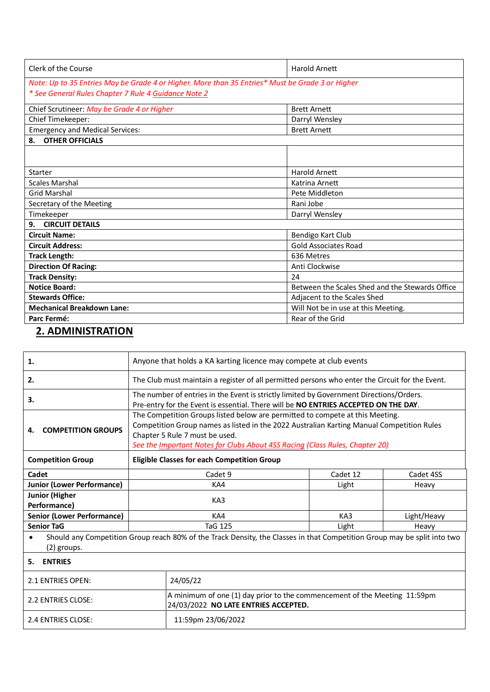| Clerk of the Course                                                                              | Harold Arnett                                   |  |  |  |
|--------------------------------------------------------------------------------------------------|-------------------------------------------------|--|--|--|
| Note: Up to 35 Entries May be Grade 4 or Higher. More than 35 Entries* Must be Grade 3 or Higher |                                                 |  |  |  |
| * See General Rules Chapter 7 Rule 4 Guidance Note 2                                             |                                                 |  |  |  |
| Chief Scrutineer: May be Grade 4 or Higher                                                       | <b>Brett Arnett</b>                             |  |  |  |
| Chief Timekeeper:                                                                                | Darryl Wensley                                  |  |  |  |
| <b>Emergency and Medical Services:</b>                                                           | <b>Brett Arnett</b>                             |  |  |  |
| 8. OTHER OFFICIALS                                                                               |                                                 |  |  |  |
|                                                                                                  |                                                 |  |  |  |
| Starter                                                                                          | <b>Harold Arnett</b>                            |  |  |  |
| <b>Scales Marshal</b>                                                                            | Katrina Arnett                                  |  |  |  |
| <b>Grid Marshal</b>                                                                              | Pete Middleton                                  |  |  |  |
| Secretary of the Meeting                                                                         | Rani Jobe                                       |  |  |  |
| Timekeeper                                                                                       | Darryl Wensley                                  |  |  |  |
| <b>CIRCUIT DETAILS</b><br>9.                                                                     |                                                 |  |  |  |
| <b>Circuit Name:</b>                                                                             | Bendigo Kart Club                               |  |  |  |
| <b>Circuit Address:</b>                                                                          | Gold Associates Road                            |  |  |  |
| <b>Track Length:</b>                                                                             | 636 Metres                                      |  |  |  |
| <b>Direction Of Racing:</b>                                                                      | Anti Clockwise                                  |  |  |  |
| <b>Track Density:</b>                                                                            | 24                                              |  |  |  |
| <b>Notice Board:</b>                                                                             | Between the Scales Shed and the Stewards Office |  |  |  |
| <b>Stewards Office:</b>                                                                          | Adjacent to the Scales Shed                     |  |  |  |
| <b>Mechanical Breakdown Lane:</b>                                                                | Will Not be in use at this Meeting.             |  |  |  |
| Parc Fermé:                                                                                      | Rear of the Grid                                |  |  |  |

# **2. ADMINISTRATION**

| Anyone that holds a KA karting licence may compete at club events                                                                       |                                                                                                                                                                                |                                |                                                                              |  |
|-----------------------------------------------------------------------------------------------------------------------------------------|--------------------------------------------------------------------------------------------------------------------------------------------------------------------------------|--------------------------------|------------------------------------------------------------------------------|--|
|                                                                                                                                         | The Club must maintain a register of all permitted persons who enter the Circuit for the Event.                                                                                |                                |                                                                              |  |
|                                                                                                                                         | The number of entries in the Event is strictly limited by Government Directions/Orders.<br>Pre-entry for the Event is essential. There will be NO ENTRIES ACCEPTED ON THE DAY. |                                |                                                                              |  |
|                                                                                                                                         | The Competition Groups listed below are permitted to compete at this Meeting.<br>Competition Group names as listed in the 2022 Australian Karting Manual Competition Rules     |                                |                                                                              |  |
| <b>Eligible Classes for each Competition Group</b>                                                                                      |                                                                                                                                                                                |                                |                                                                              |  |
| Cadet 9                                                                                                                                 |                                                                                                                                                                                | Cadet 12                       | Cadet 4SS                                                                    |  |
| KA4                                                                                                                                     |                                                                                                                                                                                | Light                          | Heavy                                                                        |  |
| KA3                                                                                                                                     |                                                                                                                                                                                |                                |                                                                              |  |
| KA4                                                                                                                                     |                                                                                                                                                                                | KA3                            | Light/Heavy                                                                  |  |
| <b>TaG 125</b>                                                                                                                          |                                                                                                                                                                                | Light                          | Heavy                                                                        |  |
| Should any Competition Group reach 80% of the Track Density, the Classes in that Competition Group may be split into two<br>(2) groups. |                                                                                                                                                                                |                                |                                                                              |  |
| 5.<br><b>ENTRIES</b>                                                                                                                    |                                                                                                                                                                                |                                |                                                                              |  |
|                                                                                                                                         | 24/05/22                                                                                                                                                                       |                                |                                                                              |  |
|                                                                                                                                         | A minimum of one (1) day prior to the commencement of the Meeting 11:59pm<br>24/03/2022 NO LATE ENTRIES ACCEPTED.                                                              |                                |                                                                              |  |
|                                                                                                                                         | 11:59pm 23/06/2022                                                                                                                                                             |                                |                                                                              |  |
|                                                                                                                                         |                                                                                                                                                                                | Chapter 5 Rule 7 must be used. | See the Important Notes for Clubs About 4SS Racing (Class Rules, Chapter 20) |  |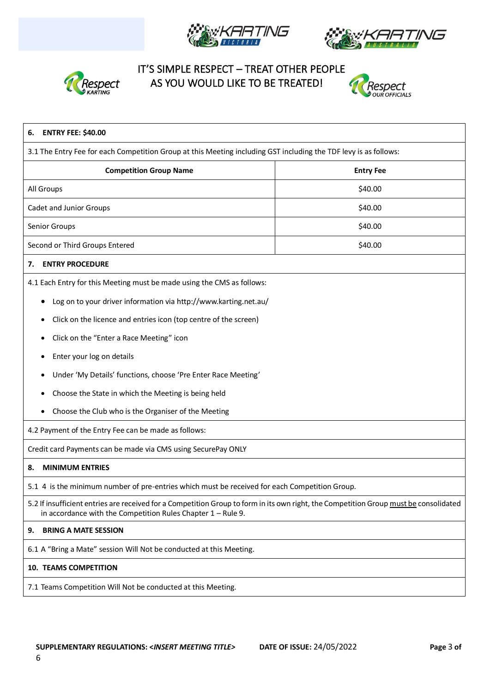





# IT'S SIMPLE RESPECT – TREAT OTHER PEOPLE Respect AS YOU WOULD LIKE TO BE TREATED!



| <b>ENTRY FEE: \$40.00</b><br>6.                                                                                                                                                                         |                  |  |  |
|---------------------------------------------------------------------------------------------------------------------------------------------------------------------------------------------------------|------------------|--|--|
| 3.1 The Entry Fee for each Competition Group at this Meeting including GST including the TDF levy is as follows:                                                                                        |                  |  |  |
| <b>Competition Group Name</b>                                                                                                                                                                           | <b>Entry Fee</b> |  |  |
| All Groups                                                                                                                                                                                              | \$40.00          |  |  |
| Cadet and Junior Groups                                                                                                                                                                                 | \$40.00          |  |  |
| Senior Groups                                                                                                                                                                                           | \$40.00          |  |  |
| Second or Third Groups Entered                                                                                                                                                                          | \$40.00          |  |  |
| <b>ENTRY PROCEDURE</b><br>7.                                                                                                                                                                            |                  |  |  |
| 4.1 Each Entry for this Meeting must be made using the CMS as follows:                                                                                                                                  |                  |  |  |
| Log on to your driver information via http://www.karting.net.au/<br>٠                                                                                                                                   |                  |  |  |
| Click on the licence and entries icon (top centre of the screen)<br>٠                                                                                                                                   |                  |  |  |
| Click on the "Enter a Race Meeting" icon                                                                                                                                                                |                  |  |  |
| Enter your log on details<br>٠                                                                                                                                                                          |                  |  |  |
| Under 'My Details' functions, choose 'Pre Enter Race Meeting'<br>٠                                                                                                                                      |                  |  |  |
| Choose the State in which the Meeting is being held                                                                                                                                                     |                  |  |  |
| Choose the Club who is the Organiser of the Meeting                                                                                                                                                     |                  |  |  |
| 4.2 Payment of the Entry Fee can be made as follows:                                                                                                                                                    |                  |  |  |
| Credit card Payments can be made via CMS using SecurePay ONLY                                                                                                                                           |                  |  |  |
| <b>MINIMUM ENTRIES</b><br>8.                                                                                                                                                                            |                  |  |  |
| 5.1 4 is the minimum number of pre-entries which must be received for each Competition Group.                                                                                                           |                  |  |  |
| 5.2 If insufficient entries are received for a Competition Group to form in its own right, the Competition Group must be consolidated<br>in accordance with the Competition Rules Chapter $1 -$ Rule 9. |                  |  |  |
| <b>BRING A MATE SESSION</b><br>9.                                                                                                                                                                       |                  |  |  |
| 6.1 A "Bring a Mate" session Will Not be conducted at this Meeting.                                                                                                                                     |                  |  |  |
| <b>10. TEAMS COMPETITION</b>                                                                                                                                                                            |                  |  |  |
| 7.1 Teams Competition Will Not be conducted at this Meeting.                                                                                                                                            |                  |  |  |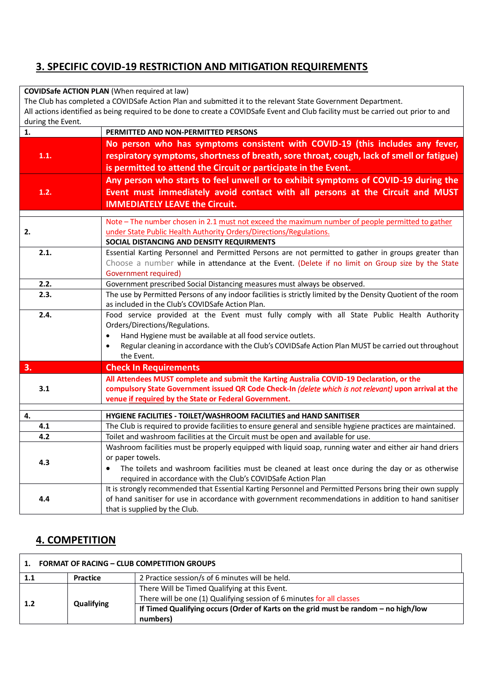# **3. SPECIFIC COVID-19 RESTRICTION AND MITIGATION REQUIREMENTS**

#### **COVIDSafe ACTION PLAN** (When required at law)

The Club has completed a COVIDSafe Action Plan and submitted it to the relevant State Government Department.

All actions identified as being required to be done to create a COVIDSafe Event and Club facility must be carried out prior to and during the Event.

| $\mathbf{1}$ . | PERMITTED AND NON-PERMITTED PERSONS                                                                                                                                                                                                                                                                               |
|----------------|-------------------------------------------------------------------------------------------------------------------------------------------------------------------------------------------------------------------------------------------------------------------------------------------------------------------|
| 1.1.           | No person who has symptoms consistent with COVID-19 (this includes any fever,<br>respiratory symptoms, shortness of breath, sore throat, cough, lack of smell or fatigue)<br>is permitted to attend the Circuit or participate in the Event.                                                                      |
| 1.2.           | Any person who starts to feel unwell or to exhibit symptoms of COVID-19 during the<br>Event must immediately avoid contact with all persons at the Circuit and MUST<br><b>IMMEDIATELY LEAVE the Circuit.</b>                                                                                                      |
| 2.             | Note - The number chosen in 2.1 must not exceed the maximum number of people permitted to gather<br>under State Public Health Authority Orders/Directions/Regulations.<br>SOCIAL DISTANCING AND DENSITY REQUIRMENTS                                                                                               |
| 2.1.           | Essential Karting Personnel and Permitted Persons are not permitted to gather in groups greater than<br>Choose a number while in attendance at the Event. (Delete if no limit on Group size by the State<br>Government required)                                                                                  |
| 2.2.           | Government prescribed Social Distancing measures must always be observed.                                                                                                                                                                                                                                         |
| 2.3.           | The use by Permitted Persons of any indoor facilities is strictly limited by the Density Quotient of the room<br>as included in the Club's COVIDSafe Action Plan.                                                                                                                                                 |
| 2.4.           | Food service provided at the Event must fully comply with all State Public Health Authority<br>Orders/Directions/Regulations.<br>Hand Hygiene must be available at all food service outlets.<br>Regular cleaning in accordance with the Club's COVIDSafe Action Plan MUST be carried out throughout<br>the Event. |
| 3.             | <b>Check In Requirements</b>                                                                                                                                                                                                                                                                                      |
| 3.1            | All Attendees MUST complete and submit the Karting Australia COVID-19 Declaration, or the<br>compulsory State Government issued QR Code Check-In (delete which is not relevant) upon arrival at the<br>venue if required by the State or Federal Government.                                                      |
| 4.             | HYGIENE FACILITIES - TOILET/WASHROOM FACILITIES and HAND SANITISER                                                                                                                                                                                                                                                |
| 4.1            | The Club is required to provide facilities to ensure general and sensible hygiene practices are maintained.                                                                                                                                                                                                       |
| 4.2            | Toilet and washroom facilities at the Circuit must be open and available for use.                                                                                                                                                                                                                                 |
| 4.3            | Washroom facilities must be properly equipped with liquid soap, running water and either air hand driers<br>or paper towels.<br>The toilets and washroom facilities must be cleaned at least once during the day or as otherwise<br>required in accordance with the Club's COVIDSafe Action Plan                  |
| 4.4            | It is strongly recommended that Essential Karting Personnel and Permitted Persons bring their own supply<br>of hand sanitiser for use in accordance with government recommendations in addition to hand sanitiser<br>that is supplied by the Club.                                                                |

#### **4. COMPETITION**

| <b>FORMAT OF RACING - CLUB COMPETITION GROUPS</b><br>$\mathbf{1}$ . |                 |                                                                                                                        |  |
|---------------------------------------------------------------------|-----------------|------------------------------------------------------------------------------------------------------------------------|--|
| 1.1                                                                 | <b>Practice</b> | 2 Practice session/s of 6 minutes will be held.                                                                        |  |
|                                                                     | Qualifying      | There Will be Timed Qualifying at this Event.<br>There will be one (1) Qualifying session of 6 minutes for all classes |  |
| 1.2                                                                 |                 | If Timed Qualifying occurs (Order of Karts on the grid must be random - no high/low<br>numbers)                        |  |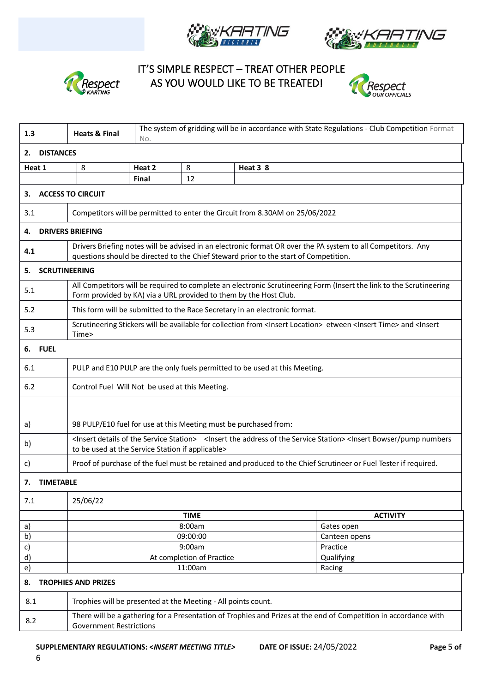





 IT'S SIMPLE RESPECT – TREAT OTHER PEOPLE **Respect** AS YOU WOULD LIKE TO BE TREATED!



| 1.3                              | <b>Heats &amp; Final</b>                                                                                                                                                                                                            | No.                                                                                                                                                                                                  |                                                |                                                                              | The system of gridding will be in accordance with State Regulations - Club Competition Format |  |
|----------------------------------|-------------------------------------------------------------------------------------------------------------------------------------------------------------------------------------------------------------------------------------|------------------------------------------------------------------------------------------------------------------------------------------------------------------------------------------------------|------------------------------------------------|------------------------------------------------------------------------------|-----------------------------------------------------------------------------------------------|--|
| 2.                               | <b>DISTANCES</b>                                                                                                                                                                                                                    |                                                                                                                                                                                                      |                                                |                                                                              |                                                                                               |  |
| Heat 1                           | 8                                                                                                                                                                                                                                   | Heat 2                                                                                                                                                                                               | 8                                              | Heat 3 8                                                                     |                                                                                               |  |
|                                  |                                                                                                                                                                                                                                     | Final                                                                                                                                                                                                | 12                                             |                                                                              |                                                                                               |  |
| З.                               | <b>ACCESS TO CIRCUIT</b>                                                                                                                                                                                                            |                                                                                                                                                                                                      |                                                |                                                                              |                                                                                               |  |
| 3.1                              |                                                                                                                                                                                                                                     |                                                                                                                                                                                                      |                                                | Competitors will be permitted to enter the Circuit from 8.30AM on 25/06/2022 |                                                                                               |  |
| 4.                               | <b>DRIVERS BRIEFING</b>                                                                                                                                                                                                             |                                                                                                                                                                                                      |                                                |                                                                              |                                                                                               |  |
| 4.1                              |                                                                                                                                                                                                                                     | Drivers Briefing notes will be advised in an electronic format OR over the PA system to all Competitors. Any<br>questions should be directed to the Chief Steward prior to the start of Competition. |                                                |                                                                              |                                                                                               |  |
| 5.                               | <b>SCRUTINEERING</b>                                                                                                                                                                                                                |                                                                                                                                                                                                      |                                                |                                                                              |                                                                                               |  |
| 5.1                              |                                                                                                                                                                                                                                     | All Competitors will be required to complete an electronic Scrutineering Form (Insert the link to the Scrutineering<br>Form provided by KA) via a URL provided to them by the Host Club.             |                                                |                                                                              |                                                                                               |  |
| 5.2                              |                                                                                                                                                                                                                                     | This form will be submitted to the Race Secretary in an electronic format.                                                                                                                           |                                                |                                                                              |                                                                                               |  |
| 5.3                              | Time>                                                                                                                                                                                                                               | Scrutineering Stickers will be available for collection from <lnsert location=""> etween <lnsert time=""> and <lnsert< td=""></lnsert<></lnsert></lnsert>                                            |                                                |                                                                              |                                                                                               |  |
| <b>FUEL</b><br>6.                |                                                                                                                                                                                                                                     |                                                                                                                                                                                                      |                                                |                                                                              |                                                                                               |  |
| 6.1                              |                                                                                                                                                                                                                                     | PULP and E10 PULP are the only fuels permitted to be used at this Meeting.                                                                                                                           |                                                |                                                                              |                                                                                               |  |
| 6.2                              |                                                                                                                                                                                                                                     |                                                                                                                                                                                                      | Control Fuel Will Not be used at this Meeting. |                                                                              |                                                                                               |  |
|                                  |                                                                                                                                                                                                                                     |                                                                                                                                                                                                      |                                                |                                                                              |                                                                                               |  |
| a)                               |                                                                                                                                                                                                                                     | 98 PULP/E10 fuel for use at this Meeting must be purchased from:                                                                                                                                     |                                                |                                                                              |                                                                                               |  |
| b)                               | <insert details="" of="" service="" station="" the=""> <insert address="" of="" service="" station="" the=""><insert bowser="" numbers<br="" pump="">to be used at the Service Station if applicable&gt;</insert></insert></insert> |                                                                                                                                                                                                      |                                                |                                                                              |                                                                                               |  |
| C)                               | Proof of purchase of the fuel must be retained and produced to the Chief Scrutineer or Fuel Tester if required.                                                                                                                     |                                                                                                                                                                                                      |                                                |                                                                              |                                                                                               |  |
| <b>TIMETABLE</b><br>7.           |                                                                                                                                                                                                                                     |                                                                                                                                                                                                      |                                                |                                                                              |                                                                                               |  |
| 7.1                              | 25/06/22                                                                                                                                                                                                                            |                                                                                                                                                                                                      |                                                |                                                                              |                                                                                               |  |
|                                  |                                                                                                                                                                                                                                     |                                                                                                                                                                                                      | <b>TIME</b>                                    |                                                                              | <b>ACTIVITY</b>                                                                               |  |
| a)                               |                                                                                                                                                                                                                                     |                                                                                                                                                                                                      | 8:00am                                         |                                                                              | Gates open                                                                                    |  |
| b)                               |                                                                                                                                                                                                                                     |                                                                                                                                                                                                      | 09:00:00                                       |                                                                              | Canteen opens                                                                                 |  |
| c)                               |                                                                                                                                                                                                                                     |                                                                                                                                                                                                      | 9:00am                                         |                                                                              | Practice                                                                                      |  |
| d)                               |                                                                                                                                                                                                                                     |                                                                                                                                                                                                      | At completion of Practice                      |                                                                              | Qualifying                                                                                    |  |
| e)                               |                                                                                                                                                                                                                                     | 11:00am<br>Racing                                                                                                                                                                                    |                                                |                                                                              |                                                                                               |  |
| <b>TROPHIES AND PRIZES</b><br>8. |                                                                                                                                                                                                                                     |                                                                                                                                                                                                      |                                                |                                                                              |                                                                                               |  |
| 8.1                              | Trophies will be presented at the Meeting - All points count.                                                                                                                                                                       |                                                                                                                                                                                                      |                                                |                                                                              |                                                                                               |  |
| 8.2                              | There will be a gathering for a Presentation of Trophies and Prizes at the end of Competition in accordance with<br><b>Government Restrictions</b>                                                                                  |                                                                                                                                                                                                      |                                                |                                                                              |                                                                                               |  |

6